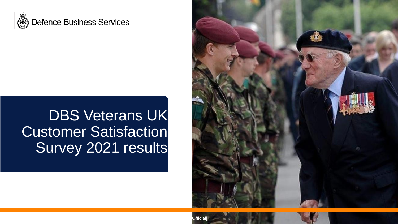

### DBS Veterans UK Customer Satisfaction Survey 2021 results

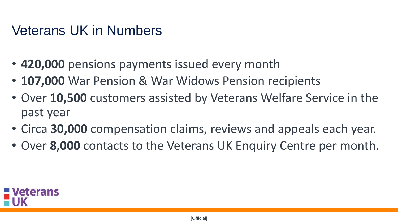#### <span id="page-1-0"></span>Veterans UK in Numbers

- **420,000** pensions payments issued every month
- **107,000** War Pension & War Widows Pension recipients
- Over **10,500** customers assisted by Veterans Welfare Service in the past year
- Circa **30,000** compensation claims, reviews and appeals each year.
- Over **8,000** contacts to the Veterans UK Enquiry Centre per month.

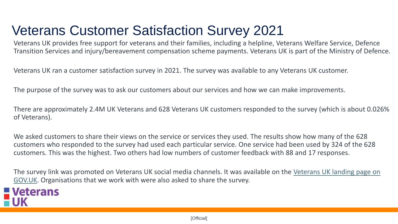### Veterans Customer Satisfaction Survey 2021

Veterans UK provides free support for veterans and their families, including a helpline, Veterans Welfare Service, Defence Transition Services and injury/bereavement compensation scheme payments. Veterans UK is part of the Ministry of Defence.

Veterans UK ran a customer satisfaction survey in 2021. The survey was available to any Veterans UK customer.

The purpose of the survey was to ask our customers about our services and how we can make improvements.

There are approximately 2.4M UK Veterans and 628 Veterans UK customers responded to the survey (which is about 0.026% of Veterans).

We asked customers to share their views on the service or services they used. The results show how many of the 628 customers who responded to the survey had used each particular service. One service had been used by 324 of the 628 customers. This was the highest. Two others had low numbers of customer feedback with 88 and 17 responses.

[The survey link was promoted on Veterans UK social media channels. It was available on the Veterans UK landing page on](https://www.gov.uk/government/organisations/veterans-uk)  GOV.UK. Organisations that we work with were also asked to share the survey.

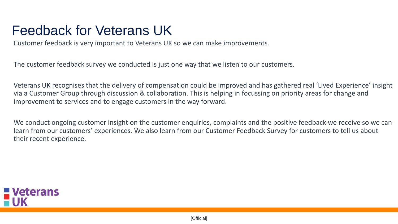#### Feedback for Veterans UK

Customer feedback is very important to Veterans UK so we can make improvements.

The customer feedback survey we conducted is just one way that we listen to our customers.

Veterans UK recognises that the delivery of compensation could be improved and has gathered real 'Lived Experience' insight via a Customer Group through discussion & collaboration. This is helping in focussing on priority areas for change and improvement to services and to engage customers in the way forward.

We conduct ongoing customer insight on the customer enquiries, complaints and the positive feedback we receive so we can learn from our customers' experiences. We also learn from our Customer Feedback Survey for customers to tell us about their recent experience.

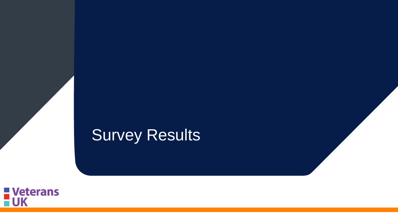# Survey Results

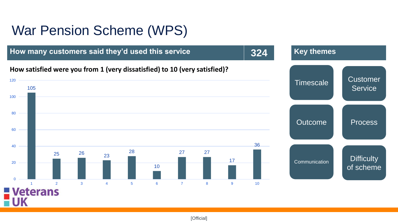#### War Pension Scheme (WPS)

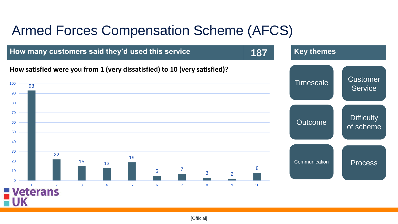#### Armed Forces Compensation Scheme (AFCS)

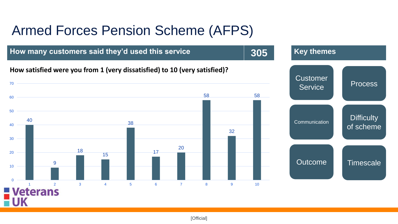### <span id="page-7-0"></span>Armed Forces Pension Scheme (AFPS)

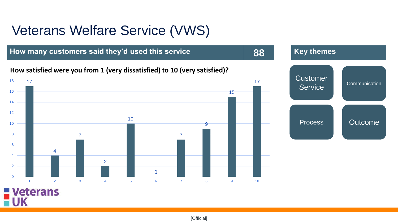#### Veterans Welfare Service (VWS)

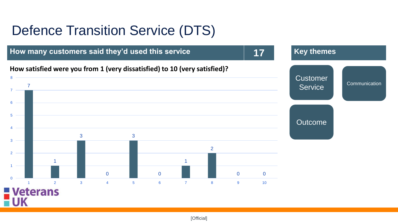#### Defence Transition Service (DTS)

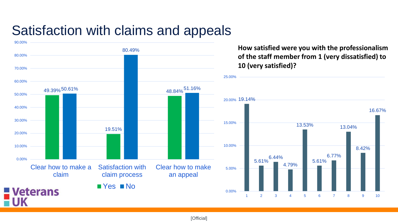#### Satisfaction with claims and appeals



**How satisfied were you with the professionalism of the staff member from 1 (very dissatisfied) to 10 (very satisfied)?**

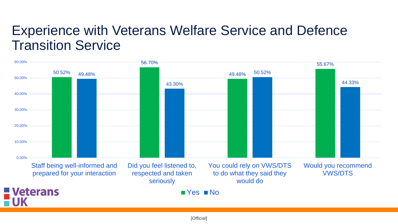#### Experience with Veterans Welfare Service and Defence Transition Service

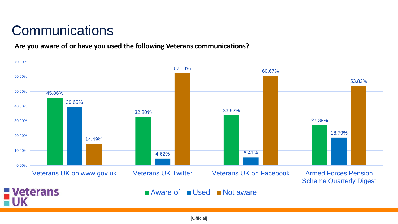### **Communications**

#### **Are you aware of or have you used the following Veterans communications?**

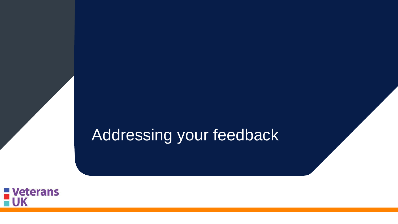## <span id="page-13-0"></span>Addressing your feedback

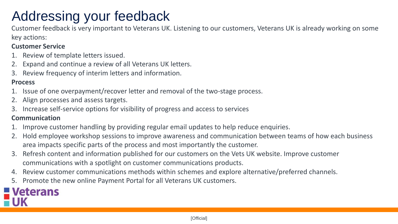### Addressing your feedback

Customer feedback is very important to Veterans UK. Listening to our customers, Veterans UK is already working on some key actions:

#### **Customer Service**

- 1. Review of template letters issued.
- 2. Expand and continue a review of all Veterans UK letters.
- 3. Review frequency of interim letters and information.

#### **Process**

- 1. Issue of one overpayment/recover letter and removal of the two-stage process.
- 2. Align processes and assess targets.
- 3. Increase self-service options for visibility of progress and access to services

#### **Communication**

- 1. Improve customer handling by providing regular email updates to help reduce enquiries.
- 2. Hold employee workshop sessions to improve awareness and communication between teams of how each business area impacts specific parts of the process and most importantly the customer.
- 3. Refresh content and information published for our customers on the Vets UK website. Improve customer communications with a spotlight on customer communications products.
- 4. Review customer communications methods within schemes and explore alternative/preferred channels.
- 5. Promote the new online Payment Portal for all Veterans UK customers.

# **Veterans**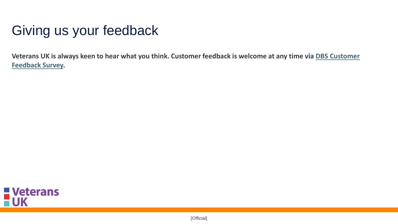### Giving us your feedback

**[Veterans UK is always keen to hear what you think. Customer feedback is welcome at any time via DBS Customer](https://surveys.mod.uk/index.php/survey/index/sid/528749/newtest/Y/lang/en)  Feedback Survey.**